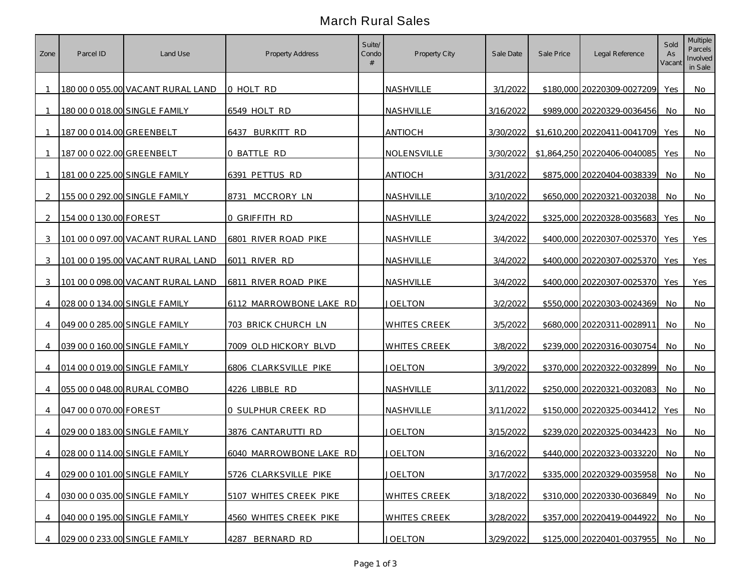## March Rural Sales

| Zone           | Parcel ID                 | Land Use                          | Property Address        | Suite/<br>Condo | Property City       | Sale Date | Sale Price | Legal Reference              | Sold<br>As<br>Vacant | Multiple<br>Parcels<br>Involved<br>in Sale |
|----------------|---------------------------|-----------------------------------|-------------------------|-----------------|---------------------|-----------|------------|------------------------------|----------------------|--------------------------------------------|
|                |                           | 180 00 0 055.00 VACANT RURAL LAND | 0 HOLT RD               |                 | <b>NASHVILLE</b>    | 3/1/2022  |            | \$180,000 20220309-0027209   | Yes                  | No                                         |
|                |                           | 180 00 0 018.00 SINGLE FAMILY     | 6549 HOLT RD            |                 | NASHVILLE           | 3/16/2022 |            | \$989,000 20220329-0036456   | No                   | No                                         |
|                | 187 00 0 014.00 GREENBELT |                                   | 6437 BURKITT RD         |                 | <b>ANTIOCH</b>      | 3/30/2022 |            | \$1,610,200 20220411-0041709 | Yes                  | No                                         |
|                | 187 00 0 022.00 GREENBELT |                                   | 0 BATTLE RD             |                 | NOLENSVILLE         | 3/30/2022 |            | \$1,864,250 20220406-0040085 | Yes                  | No                                         |
|                |                           | 181 00 0 225.00 SINGLE FAMILY     | 6391 PETTUS RD          |                 | <b>ANTIOCH</b>      | 3/31/2022 |            | \$875,000 20220404-0038339   | No                   | No                                         |
| $\mathcal{D}$  |                           | 155 00 0 292.00 SINGLE FAMILY     | 8731 MCCRORY LN         |                 | NASHVILLE           | 3/10/2022 |            | \$650,000 20220321-0032038   | No.                  | No                                         |
| $\mathcal{L}$  | 154 00 0 130.00 FOREST    |                                   | 0 GRIFFITH RD           |                 | NASHVILLE           | 3/24/2022 |            | \$325,000 20220328-0035683   | Yes                  | No.                                        |
| 3              |                           | 101 00 0 097.00 VACANT RURAL LAND | 6801 RIVER ROAD PIKE    |                 | NASHVILLE           | 3/4/2022  |            | \$400,000 20220307-0025370   | Yes                  | Yes                                        |
| 3              |                           | 101 00 0 195.00 VACANT RURAL LAND | 6011 RIVER RD           |                 | NASHVILLE           | 3/4/2022  |            | \$400,000 20220307-0025370   | Yes                  | Yes                                        |
| 3              |                           | 101 00 0 098.00 VACANT RURAL LAND | 6811 RIVER ROAD PIKE    |                 | NASHVILLE           | 3/4/2022  |            | \$400,000 20220307-0025370   | Yes                  | Yes                                        |
| 4              |                           | 028 00 0 134.00 SINGLE FAMILY     | 6112 MARROWBONE LAKE RD |                 | <b>JOELTON</b>      | 3/2/2022  |            | \$550,000 20220303-0024369   | No                   | No.                                        |
| 4              |                           | 049 00 0 285.00 SINGLE FAMILY     | 703 BRICK CHURCH LN     |                 | <b>WHITES CREEK</b> | 3/5/2022  |            | \$680,000 20220311-0028911   | No                   | No                                         |
| 4              |                           | 039 00 0 160.00 SINGLE FAMILY     | 7009 OLD HICKORY BLVD   |                 | <b>WHITES CREEK</b> | 3/8/2022  |            | \$239,000 20220316-0030754   | No                   | No                                         |
| 4              |                           | 014 00 0 019.00 SINGLE FAMILY     | 6806 CLARKSVILLE PIKE   |                 | JOELTON             | 3/9/2022  |            | \$370,000 20220322-0032899   | No                   | No                                         |
| 4              |                           | 055 00 0 048.00 RURAL COMBO       | 4226 LIBBLE RD          |                 | NASHVILLE           | 3/11/2022 |            | \$250,000 20220321-0032083   | No                   | No                                         |
| 4              | 047 00 0 070.00 FOREST    |                                   | 0 SULPHUR CREEK RD      |                 | NASHVILLE           | 3/11/2022 |            | \$150,000 20220325-0034412   | Yes                  | No                                         |
|                |                           | 029 00 0 183.00 SINGLE FAMILY     | 3876 CANTARUTTI RD      |                 | <b>JOELTON</b>      | 3/15/2022 |            | \$239,020 20220325-0034423   | No                   | No                                         |
|                |                           | 028 00 0 114.00 SINGLE FAMILY     | 6040 MARROWBONE LAKE RD |                 | <b>JOELTON</b>      | 3/16/2022 |            | \$440,000 20220323-0033220   | No                   | No.                                        |
| $\overline{4}$ |                           | 029 00 0 101.00 SINGLE FAMILY     | 5726 CLARKSVILLE PIKE   |                 | <b>JOELTON</b>      | 3/17/2022 |            | \$335,000 20220329-0035958   | No.                  | No                                         |
| $\overline{4}$ |                           | 030 00 0 035.00 SINGLE FAMILY     | 5107 WHITES CREEK PIKE  |                 | <b>WHITES CREEK</b> | 3/18/2022 |            | \$310,000 20220330-0036849   | No                   | <b>No</b>                                  |
| $\overline{4}$ |                           | 040 00 0 195.00 SINGLE FAMILY     | 4560 WHITES CREEK PIKE  |                 | <b>WHITES CREEK</b> | 3/28/2022 |            | \$357,000 20220419-0044922   | No.                  | No                                         |
|                |                           | 029 00 0 233.00 SINGLE FAMILY     | 4287 BERNARD RD         |                 | <b>JOELTON</b>      | 3/29/2022 |            | \$125,000 20220401-0037955   | No                   | No                                         |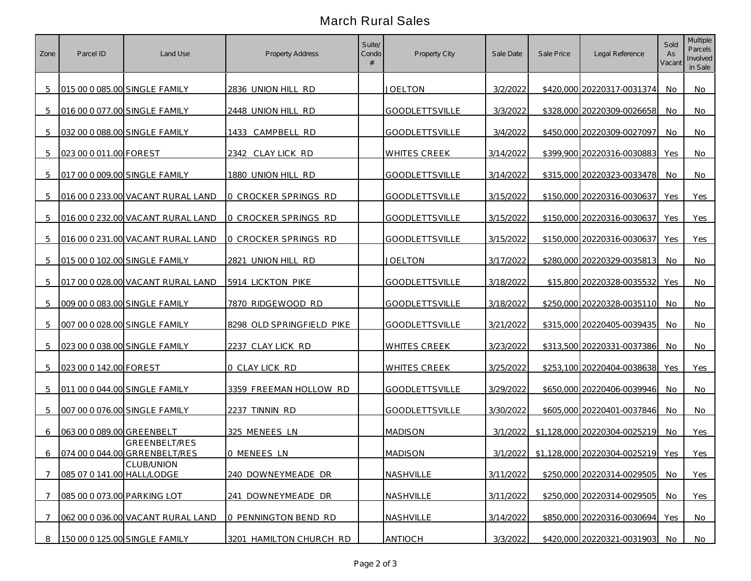## March Rural Sales

| Zone | Parcel ID                   | Land Use                                       | <b>Property Address</b>   | Suite/<br>Condo | Property City         | Sale Date | Sale Price | Legal Reference                       | Sold<br>As<br>Vacant | Multiple<br>Parcels<br>Involved<br>in Sale |
|------|-----------------------------|------------------------------------------------|---------------------------|-----------------|-----------------------|-----------|------------|---------------------------------------|----------------------|--------------------------------------------|
| 5    |                             | 015 00 0 085.00 SINGLE FAMILY                  | 2836 UNION HILL RD        |                 | JOELTON               | 3/2/2022  |            | \$420,000 20220317-0031374            | No.                  | No                                         |
| 5    |                             | 016 00 0 077.00 SINGLE FAMILY                  | 2448 UNION HILL RD        |                 | <b>GOODLETTSVILLE</b> | 3/3/2022  |            | \$328,000 20220309-0026658            | No                   | No                                         |
| 5    |                             | 032 00 0 088.00 SINGLE FAMILY                  | 1433 CAMPBELL RD          |                 | <b>GOODLETTSVILLE</b> | 3/4/2022  |            | \$450,000 20220309-0027097            | No                   | No.                                        |
| 5    | 023 00 0 011.00 FOREST      |                                                | 2342 CLAY LICK RD         |                 | <b>WHITES CREEK</b>   | 3/14/2022 |            | \$399,900 20220316-0030883            | Yes                  | No                                         |
| -5   |                             | 017 00 0 009.00 SINGLE FAMILY                  | 1880 UNION HILL RD        |                 | <b>GOODLETTSVILLE</b> | 3/14/2022 |            | \$315,000 20220323-0033478            | No                   | No                                         |
| 5    |                             | 016 00 0 233.00 VACANT RURAL LAND              | O CROCKER SPRINGS RD      |                 | <b>GOODLETTSVILLE</b> | 3/15/2022 |            | \$150,000 20220316-0030637            | Yes                  | Yes                                        |
| -5   |                             | 016 00 0 232.00 VACANT RURAL LAND              | 0 CROCKER SPRINGS RD      |                 | <b>GOODLETTSVILLE</b> | 3/15/2022 |            | \$150,000 20220316-0030637            | Yes                  | Yes                                        |
| 5    |                             | 016 00 0 231.00 VACANT RURAL LAND              | 0 CROCKER SPRINGS RD      |                 | <b>GOODLETTSVILLE</b> | 3/15/2022 |            | \$150,000 20220316-0030637            | Yes                  | Yes                                        |
| 5    |                             | 015 00 0 102.00 SINGLE FAMILY                  | 2821 UNION HILL RD        |                 | <b>JOELTON</b>        | 3/17/2022 |            | \$280,000 20220329-0035813            | No                   | No                                         |
| 5    |                             | 017 00 0 028.00 VACANT RURAL LAND              | 5914 LICKTON PIKE         |                 | <b>GOODLETTSVILLE</b> | 3/18/2022 |            | \$15,800 20220328-0035532             | Yes                  | No.                                        |
| 5    |                             | 009 00 0 083.00 SINGLE FAMILY                  | 7870 RIDGEWOOD RD         |                 | <b>GOODLETTSVILLE</b> | 3/18/2022 |            | \$250,000 20220328-0035110            | No                   | No.                                        |
| -5   |                             | 007 00 0 028.00 SINGLE FAMILY                  | 8298 OLD SPRINGFIELD PIKE |                 | <b>GOODLETTSVILLE</b> | 3/21/2022 |            | \$315,000 20220405-0039435            | No                   | No                                         |
| 5    |                             | 023 00 0 038.00 SINGLE FAMILY                  | 2237 CLAY LICK RD         |                 | <b>WHITES CREEK</b>   | 3/23/2022 |            | \$313,500 20220331-0037386            | No                   | No                                         |
| 5    | 023 00 0 142.00 FOREST      |                                                | 0 CLAY LICK RD            |                 | <b>WHITES CREEK</b>   | 3/25/2022 |            | \$253,100 20220404-0038638            | Yes                  | Yes                                        |
| 5    |                             | 011 00 0 044.00 SINGLE FAMILY                  | 3359 FREEMAN HOLLOW RD    |                 | <b>GOODLETTSVILLE</b> | 3/29/2022 |            | \$650,000 20220406-0039946            | No                   | No                                         |
| 5    |                             | 007 00 0 076.00 SINGLE FAMILY                  | 2237 TINNIN RD            |                 | <b>GOODLETTSVILLE</b> | 3/30/2022 |            | \$605,000 20220401-0037846            | No                   | No                                         |
| 6    | 063 00 0 089.00 GREENBELT   |                                                | 325 MENEES LN             |                 | <b>MADISON</b>        | 3/1/2022  |            | \$1,128,000 20220304-0025219          | No                   | Yes                                        |
| 6    |                             | GREENBELT/RES<br>074 00 0 044.00 GRRENBELT/RES | O MENEES LN               |                 | <b>MADISON</b>        |           |            | 3/1/2022 \$1,128,000 20220304-0025219 | Yes                  | Yes                                        |
| 7    | 085 07 0 141.00 HALL/LODGE  | <b>CLUB/UNION</b>                              | 240 DOWNEYMEADE DR        |                 | NASHVILLE             | 3/11/2022 |            | \$250,000 20220314-0029505            | No                   | Yes                                        |
| 7    | 085 00 0 073.00 PARKING LOT |                                                | 241 DOWNEYMEADE DR        |                 | NASHVILLE             | 3/11/2022 |            | \$250,000 20220314-0029505            | No                   | Yes                                        |
| 7    |                             | 062 00 0 036.00 VACANT RURAL LAND              | 0 PENNINGTON BEND RD      |                 | NASHVILLE             | 3/14/2022 |            | \$850,000 20220316-0030694            | Yes                  | <b>No</b>                                  |
|      |                             | 8 150 00 0 125.00 SINGLE FAMILY                | 3201 HAMILTON CHURCH RD   |                 | <b>ANTIOCH</b>        | 3/3/2022  |            | \$420,000 20220321-0031903            | No                   | No                                         |